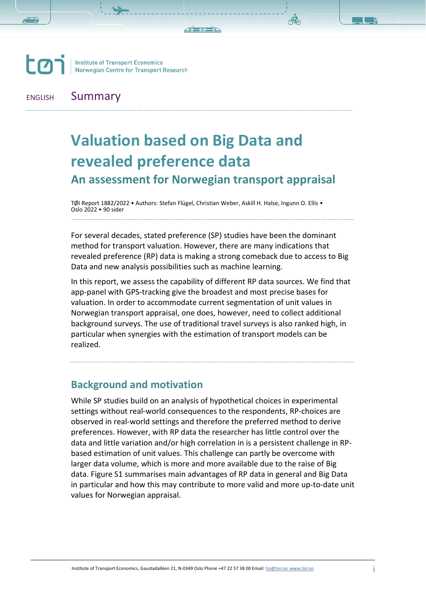

ENGLISH Summary

# **Valuation based on Big Data and revealed preference data An assessment for Norwegian transport appraisal**

TØI Report 1882/2022 • Authors: Stefan Flügel, Christian Weber, Askill H. Halse, Ingunn O. Ellis • Oslo 2022 • 90 sider

For several decades, stated preference (SP) studies have been the dominant method for transport valuation. However, there are many indications that revealed preference (RP) data is making a strong comeback due to access to Big Data and new analysis possibilities such as machine learning.

In this report, we assess the capability of different RP data sources. We find that app-panel with GPS-tracking give the broadest and most precise bases for valuation. In order to accommodate current segmentation of unit values in Norwegian transport appraisal, one does, however, need to collect additional background surveys. The use of traditional travel surveys is also ranked high, in particular when synergies with the estimation of transport models can be realized.

## **Background and motivation**

While SP studies build on an analysis of hypothetical choices in experimental settings without real-world consequences to the respondents, RP-choices are observed in real-world settings and therefore the preferred method to derive preferences. However, with RP data the researcher has little control over the data and little variation and/or high correlation in is a persistent challenge in RPbased estimation of unit values. This challenge can partly be overcome with larger data volume, which is more and more available due to the raise of Big data. Figure S1 summarises main advantages of RP data in general and Big Data in particular and how this may contribute to more valid and more up-to-date unit values for Norwegian appraisal.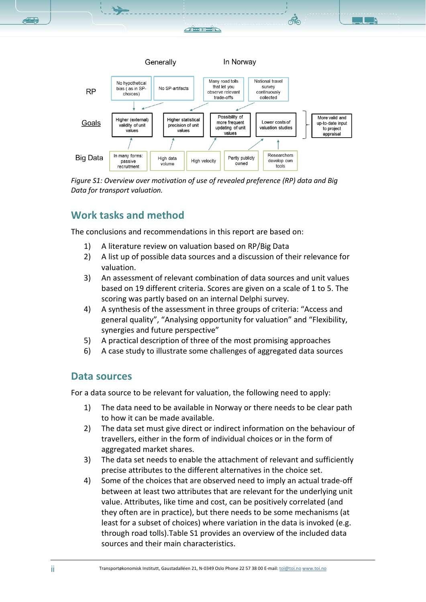



*Figure S1: Overview over motivation of use of revealed preference (RP) data and Big Data for transport valuation.*

# **Work tasks and method**

The conclusions and recommendations in this report are based on:

- 1) A literature review on valuation based on RP/Big Data
- 2) A list up of possible data sources and a discussion of their relevance for valuation.
- 3) An assessment of relevant combination of data sources and unit values based on 19 different criteria. Scores are given on a scale of 1 to 5. The scoring was partly based on an internal Delphi survey.
- 4) A synthesis of the assessment in three groups of criteria: "Access and general quality", "Analysing opportunity for valuation" and "Flexibility, synergies and future perspective"
- 5) A practical description of three of the most promising approaches
- 6) A case study to illustrate some challenges of aggregated data sources

## **Data sources**

For a data source to be relevant for valuation, the following need to apply:

- 1) The data need to be available in Norway or there needs to be clear path to how it can be made available.
- 2) The data set must give direct or indirect information on the behaviour of travellers, either in the form of individual choices or in the form of aggregated market shares.
- 3) The data set needs to enable the attachment of relevant and sufficiently precise attributes to the different alternatives in the choice set.
- 4) Some of the choices that are observed need to imply an actual trade-off between at least two attributes that are relevant for the underlying unit value. Attributes, like time and cost, can be positively correlated (and they often are in practice), but there needs to be some mechanisms (at least for a subset of choices) where variation in the data is invoked (e.g. through road tolls).Table S1 provides an overview of the included data sources and their main characteristics.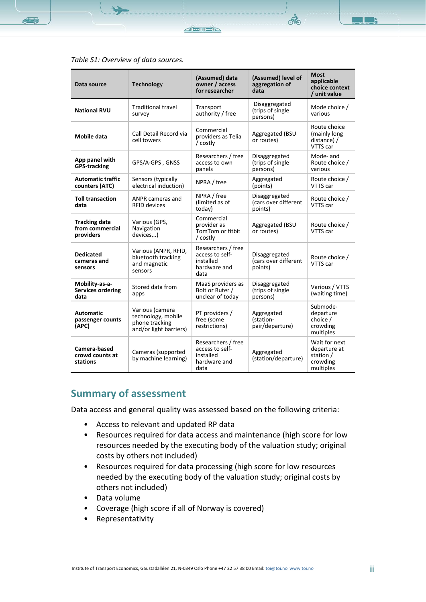

**RE** 

| Data source                                          | Technology                                                                        | (Assumed) data<br>owner / access<br>for researcher                         | (Assumed) level of<br>aggregation of<br>data     | <b>Most</b><br>applicable<br>choice context<br>/ unit value         |
|------------------------------------------------------|-----------------------------------------------------------------------------------|----------------------------------------------------------------------------|--------------------------------------------------|---------------------------------------------------------------------|
| <b>National RVU</b>                                  | <b>Traditional travel</b><br>survey                                               | Transport<br>authority / free                                              | Disaggregated<br>(trips of single)<br>persons)   | Mode choice /<br>various                                            |
| <b>Mobile data</b>                                   | Call Detail Record via<br>cell towers                                             | Commercial<br>providers as Telia<br>/ costly                               | Aggregated (BSU<br>or routes)                    | Route choice<br>(mainly long<br>distance) /<br>VTTS car             |
| App panel with<br><b>GPS-tracking</b>                | GPS/A-GPS, GNSS                                                                   | Researchers / free<br>access to own<br>panels                              | Disaggregated<br>(trips of single)<br>persons)   | Mode- and<br>Route choice /<br>various                              |
| <b>Automatic traffic</b><br>counters (ATC)           | Sensors (typically<br>electrical induction)                                       | NPRA / free                                                                | Aggregated<br>(points)                           | Route choice /<br>VTTS car                                          |
| <b>Toll transaction</b><br>data                      | ANPR cameras and<br><b>RFID devices</b>                                           | NPRA / free<br>(limited as of<br>today)                                    | Disaggregated<br>(cars over different<br>points) | Route choice /<br>VTTS car                                          |
| <b>Tracking data</b><br>from commercial<br>providers | Various (GPS,<br>Navigation<br>devices,)                                          | Commercial<br>provider as<br>TomTom or fitbit<br>/ costly                  | Aggregated (BSU<br>or routes)                    | Route choice /<br>VTTS car                                          |
| <b>Dedicated</b><br>cameras and<br>sensors           | Various (ANPR, RFID,<br>bluetooth tracking<br>and magnetic<br>sensors             | Researchers / free<br>access to self-<br>installed<br>hardware and<br>data | Disaggregated<br>(cars over different<br>points) | Route choice /<br>VTTS car                                          |
| Mobility-as-a-<br><b>Services ordering</b><br>data   | Stored data from<br>apps                                                          | MaaS providers as<br>Bolt or Ruter /<br>unclear of today                   | Disaggregated<br>(trips of single<br>persons)    | Various / VTTS<br>(waiting time)                                    |
| <b>Automatic</b><br>passenger counts<br>(APC)        | Various (camera<br>technology, mobile<br>phone tracking<br>and/or light barriers) | PT providers /<br>free (some<br>restrictions)                              | Aggregated<br>(station-<br>pair/departure)       | Submode-<br>departure<br>choice /<br>crowding<br>multiples          |
| Camera-based<br>crowd counts at<br>stations          | Cameras (supported<br>by machine learning)                                        | Researchers / free<br>access to self-<br>installed<br>hardware and<br>data | Aggregated<br>(station/departure)                | Wait for next<br>departure at<br>station /<br>crowding<br>multiples |

#### *Table S1: Overview of data sources.*

## **Summary of assessment**

Data access and general quality was assessed based on the following criteria:

- Access to relevant and updated RP data
- Resources required for data access and maintenance (high score for low resources needed by the executing body of the valuation study; original costs by others not included)
- Resources required for data processing (high score for low resources needed by the executing body of the valuation study; original costs by others not included)
- Data volume
- Coverage (high score if all of Norway is covered)
- Representativity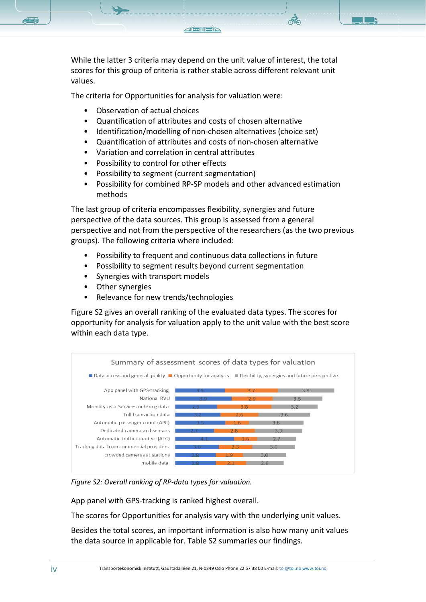While the latter 3 criteria may depend on the unit value of interest, the total scores for this group of criteria is rather stable across different relevant unit values.

The criteria for Opportunities for analysis for valuation were:

- Observation of actual choices
- Quantification of attributes and costs of chosen alternative
- Identification/modelling of non-chosen alternatives (choice set)
- Quantification of attributes and costs of non-chosen alternative
- Variation and correlation in central attributes
- Possibility to control for other effects
- Possibility to segment (current segmentation)
- Possibility for combined RP-SP models and other advanced estimation methods

The last group of criteria encompasses flexibility, synergies and future perspective of the data sources. This group is assessed from a general perspective and not from the perspective of the researchers (as the two previous groups). The following criteria where included:

- Possibility to frequent and continuous data collections in future
- Possibility to segment results beyond current segmentation
- Synergies with transport models
- Other synergies
- Relevance for new trends/technologies

Figure S2 gives an overall ranking of the evaluated data types. The scores for opportunity for analysis for valuation apply to the unit value with the best score within each data type.



*Figure S2: Overall ranking of RP-data types for valuation.*

App panel with GPS-tracking is ranked highest overall.

The scores for Opportunities for analysis vary with the underlying unit values.

Besides the total scores, an important information is also how many unit values the data source in applicable for. Table S2 summaries our findings.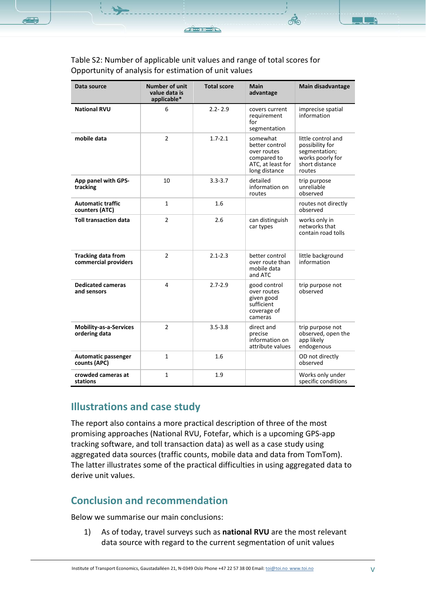ഷ്ണ

| Data source                                       | <b>Number of unit</b><br>value data is<br>applicable* | <b>Total score</b> | <b>Main</b><br>advantage                                                                       | Main disadvantage                                                                                      |
|---------------------------------------------------|-------------------------------------------------------|--------------------|------------------------------------------------------------------------------------------------|--------------------------------------------------------------------------------------------------------|
| <b>National RVU</b>                               | 6                                                     | $2.2 - 2.9$        | covers current<br>requirement<br>for<br>segmentation                                           | imprecise spatial<br>information                                                                       |
| mobile data                                       | $\overline{2}$                                        | $1.7 - 2.1$        | somewhat<br>better control<br>over routes<br>compared to<br>ATC, at least for<br>long distance | little control and<br>possibility for<br>segmentation;<br>works poorly for<br>short distance<br>routes |
| App panel with GPS-<br>tracking                   | 10                                                    | $3.3 - 3.7$        | detailed<br>information on<br>routes                                                           | trip purpose<br>unreliable<br>observed                                                                 |
| <b>Automatic traffic</b><br>counters (ATC)        | $\mathbf{1}$                                          | 1.6                |                                                                                                | routes not directly<br>observed                                                                        |
| <b>Toll transaction data</b>                      | $\overline{2}$                                        | 2.6                | can distinguish<br>car types                                                                   | works only in<br>networks that<br>contain road tolls                                                   |
| <b>Tracking data from</b><br>commercial providers | $\overline{2}$                                        | $2.1 - 2.3$        | better control<br>over route than<br>mobile data<br>and ATC                                    | little background<br>information                                                                       |
| <b>Dedicated cameras</b><br>and sensors           | 4                                                     | $2.7 - 2.9$        | good control<br>over routes<br>given good<br>sufficient<br>coverage of<br>cameras              | trip purpose not<br>observed                                                                           |
| <b>Mobility-as-a-Services</b><br>ordering data    | $\overline{2}$                                        | $3.5 - 3.8$        | direct and<br>precise<br>information on<br>attribute values                                    | trip purpose not<br>observed, open the<br>app likely<br>endogenous                                     |
| <b>Automatic passenger</b><br>counts (APC)        | $\mathbf{1}$                                          | 1.6                |                                                                                                | OD not directly<br>observed                                                                            |
| crowded cameras at<br>stations                    | $\mathbf{1}$                                          | 1.9                |                                                                                                | Works only under<br>specific conditions                                                                |

### Table S2: Number of applicable unit values and range of total scores for Opportunity of analysis for estimation of unit values

# **Illustrations and case study**

The report also contains a more practical description of three of the most promising approaches (National RVU, Fotefar, which is a upcoming GPS-app tracking software, and toll transaction data) as well as a case study using aggregated data sources (traffic counts, mobile data and data from TomTom). The latter illustrates some of the practical difficulties in using aggregated data to derive unit values.

# **Conclusion and recommendation**

Below we summarise our main conclusions:

1) As of today, travel surveys such as **national RVU** are the most relevant data source with regard to the current segmentation of unit values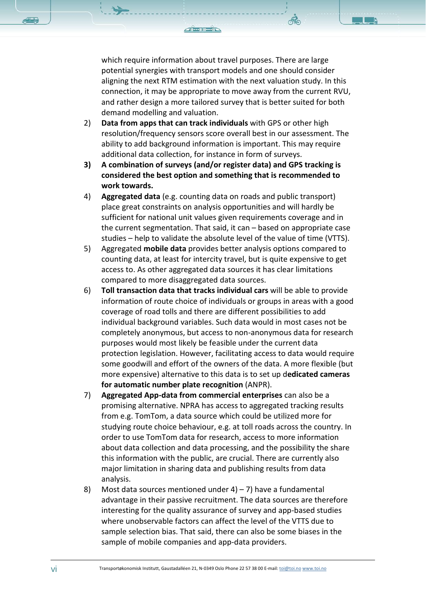which require information about travel purposes. There are large potential synergies with transport models and one should consider aligning the next RTM estimation with the next valuation study. In this connection, it may be appropriate to move away from the current RVU, and rather design a more tailored survey that is better suited for both demand modelling and valuation.

- 2) **Data from apps that can track individuals** with GPS or other high resolution/frequency sensors score overall best in our assessment. The ability to add background information is important. This may require additional data collection, for instance in form of surveys.
- **3) A combination of surveys (and/or register data) and GPS tracking is considered the best option and something that is recommended to work towards.**
- 4) **Aggregated data** (e.g. counting data on roads and public transport) place great constraints on analysis opportunities and will hardly be sufficient for national unit values given requirements coverage and in the current segmentation. That said, it can – based on appropriate case studies – help to validate the absolute level of the value of time (VTTS).
- 5) Aggregated **mobile data** provides better analysis options compared to counting data, at least for intercity travel, but is quite expensive to get access to. As other aggregated data sources it has clear limitations compared to more disaggregated data sources.
- 6) **Toll transaction data that tracks individual cars** will be able to provide information of route choice of individuals or groups in areas with a good coverage of road tolls and there are different possibilities to add individual background variables. Such data would in most cases not be completely anonymous, but access to non-anonymous data for research purposes would most likely be feasible under the current data protection legislation. However, facilitating access to data would require some goodwill and effort of the owners of the data. A more flexible (but more expensive) alternative to this data is to set up d**edicated cameras for automatic number plate recognition** (ANPR).
- 7) **Aggregated App-data from commercial enterprises** can also be a promising alternative. NPRA has access to aggregated tracking results from e.g. TomTom, a data source which could be utilized more for studying route choice behaviour, e.g. at toll roads across the country. In order to use TomTom data for research, access to more information about data collection and data processing, and the possibility the share this information with the public, are crucial. There are currently also major limitation in sharing data and publishing results from data analysis.
- 8) Most data sources mentioned under  $4$ ) 7) have a fundamental advantage in their passive recruitment. The data sources are therefore interesting for the quality assurance of survey and app-based studies where unobservable factors can affect the level of the VTTS due to sample selection bias. That said, there can also be some biases in the sample of mobile companies and app-data providers.